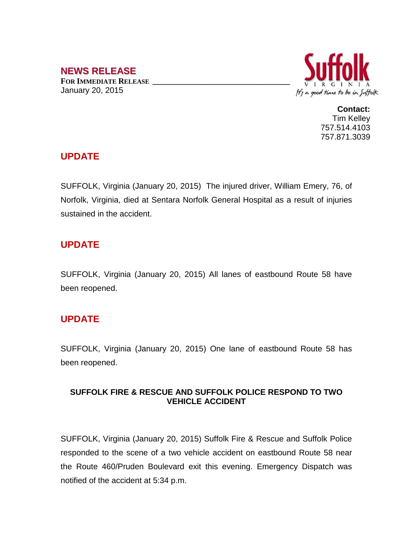# **NEWS RELEASE**

**FOR IMMEDIATE RELEASE \_\_\_\_\_\_\_\_\_\_\_\_\_\_\_\_\_\_\_\_\_\_\_\_\_\_\_\_\_\_\_\_\_\_** January 20, 2015



**Contact:** Tim Kelley 757.514.4103 757.871.3039

## **UPDATE**

SUFFOLK, Virginia (January 20, 2015) The injured driver, William Emery, 76, of Norfolk, Virginia, died at Sentara Norfolk General Hospital as a result of injuries sustained in the accident.

## **UPDATE**

SUFFOLK, Virginia (January 20, 2015) All lanes of eastbound Route 58 have been reopened.

#### **UPDATE**

SUFFOLK, Virginia (January 20, 2015) One lane of eastbound Route 58 has been reopened.

#### **SUFFOLK FIRE & RESCUE AND SUFFOLK POLICE RESPOND TO TWO VEHICLE ACCIDENT**

SUFFOLK, Virginia (January 20, 2015) Suffolk Fire & Rescue and Suffolk Police responded to the scene of a two vehicle accident on eastbound Route 58 near the Route 460/Pruden Boulevard exit this evening. Emergency Dispatch was notified of the accident at 5:34 p.m.